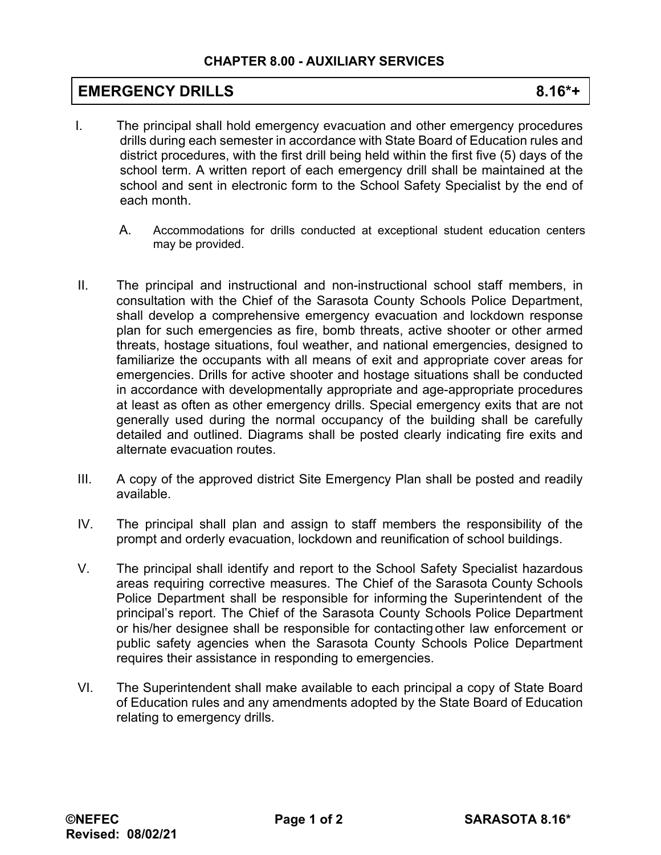## **CHAPTER 8.00 - AUXILIARY SERVICES**

## **EMERGENCY DRILLS** 8.16\*+

- I. The principal shall hold emergency evacuation and other emergency procedures drills during each semester in accordance with State Board of Education rules and district procedures, with the first drill being held within the first five (5) days of the school term. A written report of each emergency drill shall be maintained at the school and sent in electronic form to the School Safety Specialist by the end of each month.
	- A. Accommodations for drills conducted at exceptional student education centers may be provided.
- II. The principal and instructional and non-instructional school staff members, in consultation with the Chief of the Sarasota County Schools Police Department, shall develop a comprehensive emergency evacuation and lockdown response plan for such emergencies as fire, bomb threats, active shooter or other armed threats, hostage situations, foul weather, and national emergencies, designed to familiarize the occupants with all means of exit and appropriate cover areas for emergencies. Drills for active shooter and hostage situations shall be conducted in accordance with developmentally appropriate and age-appropriate procedures at least as often as other emergency drills. Special emergency exits that are not generally used during the normal occupancy of the building shall be carefully detailed and outlined. Diagrams shall be posted clearly indicating fire exits and alternate evacuation routes.
- III. A copy of the approved district Site Emergency Plan shall be posted and readily available.
- IV. The principal shall plan and assign to staff members the responsibility of the prompt and orderly evacuation, lockdown and reunification of school buildings.
- V. The principal shall identify and report to the School Safety Specialist hazardous areas requiring corrective measures. The Chief of the Sarasota County Schools Police Department shall be responsible for informing the Superintendent of the principal's report. The Chief of the Sarasota County Schools Police Department or his/her designee shall be responsible for contacting other law enforcement or public safety agencies when the Sarasota County Schools Police Department requires their assistance in responding to emergencies.
- VI. The Superintendent shall make available to each principal a copy of State Board of Education rules and any amendments adopted by the State Board of Education relating to emergency drills.